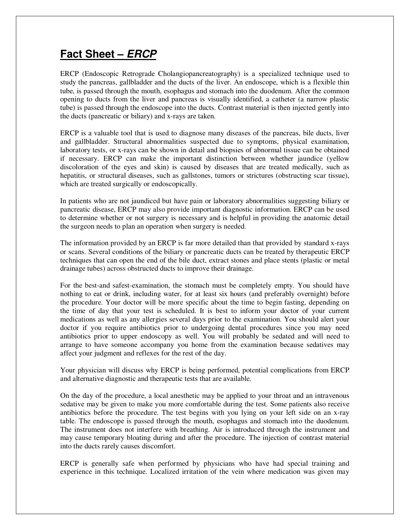## **Fact Sheet –** *ERCP*

ERCP (Endoscopic Retrograde Cholangiopancreatography) is a specialized technique used to study the pancreas, gallbladder and the ducts of the liver. An endoscope, which is a flexible thin tube, is passed through the mouth, esophagus and stomach into the duodenum. After the common opening to ducts from the liver and pancreas is visually identified, a catheter (a narrow plastic tube) is passed through the endoscope into the ducts. Contrast material is then injected gently into the ducts (pancreatic or biliary) and x-rays are taken.

ERCP is a valuable tool that is used to diagnose many diseases of the pancreas, bile ducts, liver and gallbladder. Structural abnormalities suspected due to symptoms, physical examination, laboratory tests, or x-rays can be shown in detail and biopsies of abnormal tissue can be obtained if necessary. ERCP can make the important distinction between whether jaundice (yellow discoloration of the eyes and skin) is caused by diseases that are treated medically, such as hepatitis, or structural diseases, such as gallstones, tumors or strictures (obstructing scar tissue), which are treated surgically or endoscopically.

In patients who are not jaundiced but have pain or laboratory abnormalities suggesting biliary or pancreatic disease, ERCP may also provide important diagnostic information. ERCP can be used to determine whether or not surgery is necessary and is helpful in providing the anatomic detail the surgeon needs to plan an operation when surgery is needed.

The information provided by an ERCP is far more detailed than that provided by standard x-rays or scans. Several conditions of the biliary or pancreatic ducts can be treated by therapeutic ERCP techniques that can open the end of the bile duct, extract stones and place stents (plastic or metal drainage tubes) across obstructed ducts to improve their drainage.

For the best-and safest-examination, the stomach must be completely empty. You should have nothing to eat or drink, including water, for at least six hours (and preferably overnight) before the procedure. Your doctor will be more specific about the time to begin fasting, depending on the time of day that your test is scheduled. It is best to inform your doctor of your current medications as well as any allergies several days prior to the examination. You should alert your doctor if you require antibiotics prior to undergoing dental procedures since you may need antibiotics prior to upper endoscopy as well. You will probably be sedated and will need to arrange to have someone accompany you home from the examination because sedatives may affect your judgment and reflexes for the rest of the day.

Your physician will discuss why ERCP is being performed, potential complications from ERCP and alternative diagnostic and therapeutic tests that are available.

On the day of the procedure, a local anesthetic may be applied to your throat and an intravenous sedative may be given to make you more comfortable during the test. Some patients also receive antibiotics before the procedure. The test begins with you lying on your left side on an x-ray table. The endoscope is passed through the mouth, esophagus and stomach into the duodenum. The instrument does not interfere with breathing. Air is introduced through the instrument and may cause temporary bloating during and after the procedure. The injection of contrast material into the ducts rarely causes discomfort.

ERCP is generally safe when performed by physicians who have had special training and experience in this technique. Localized irritation of the vein where medication was given may